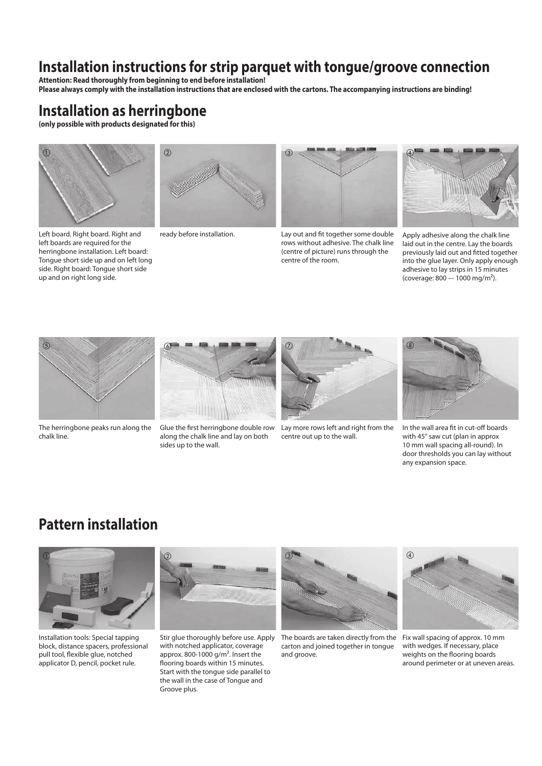# **Installation instructions for strip parquet with tongue/groove connection**

**Attention: Read thoroughly from beginning to end before installation! Please always comply with the installation instructions that are enclosed with the cartons. The accompanying instructions are binding!**

# **Installation as herringbone**

**(only possible with products designated for this)** 



Left board. Right board. Right and left boards are required for the herringbone installation. Left board: Tongue short side up and on left long side. Right board: Tongue short side up and on right long side.





ready before installation. Lay out and fit together some double rows without adhesive. The chalk line (centre of picture) runs through the centre of the room.



Apply adhesive along the chalk line laid out in the centre. Lay the boards previously laid out and fitted together into the glue layer. Only apply enough adhesive to lay strips in 15 minutes (coverage: 800 –- 1000 mg/m²).



The herringbone peaks run along the chalk line.



Glue the first herringbone double row Lay more rows left and right from the along the chalk line and lay on both sides up to the wall.



centre out up to the wall.



In the wall area fit in cut-off boards with 45° saw cut (plan in approx 10 mm wall spacing all-round). In door thresholds you can lay without any expansion space.

## **Pattern installation**



Installation tools: Special tapping block, distance spacers, professional pull tool, flexible glue, notched applicator D, pencil, pocket rule.



Stir glue thoroughly before use. Apply with notched applicator, coverage approx. 800-1000  $q/m^2$ . Insert the flooring boards within 15 minutes. Start with the tongue side parallel to the wall in the case of Tongue and Groove plus.



The boards are taken directly from the Fix wall spacing of approx. 10 mm carton and joined together in tongue and groove.



with wedges. If necessary, place weights on the flooring boards around perimeter or at uneven areas.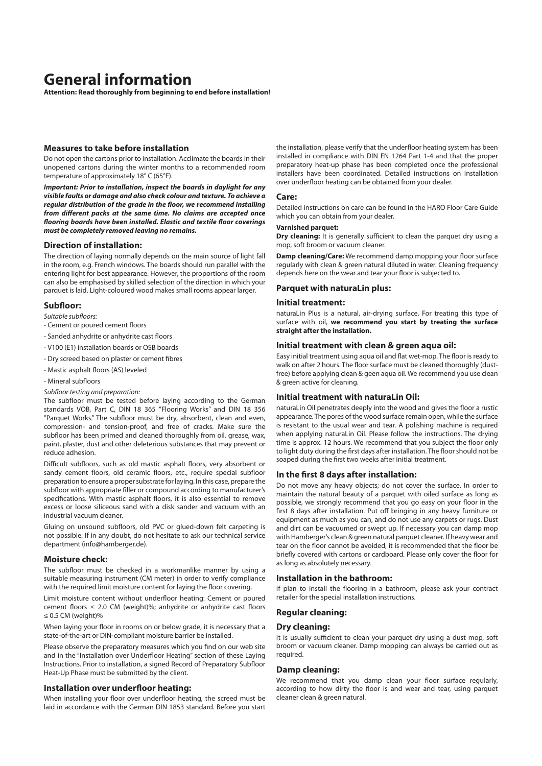## **General information**

**Attention: Read thoroughly from beginning to end before installation!** 

## **Measures to take before installation**

Do not open the cartons prior to installation. Acclimate the boards in their unopened cartons during the winter months to a recommended room temperature of approximately 18° C (65°F).

*Important: Prior to installation, inspect the boards in daylight for any visible faults or damage and also check colour and texture. To achieve a regular distribution of the grade in the floor, we recommend installing from different packs at the same time. No claims are accepted once flooring boards have been installed. Elastic and textile floor coverings must be completely removed leaving no remains.* 

#### **Direction of installation:**

The direction of laying normally depends on the main source of light fall in the room, e.g. French windows. The boards should run parallel with the entering light for best appearance. However, the proportions of the room can also be emphasised by skilled selection of the direction in which your parquet is laid. Light-coloured wood makes small rooms appear larger.

## **Subfloor:**

- *Suitable subfloors:*
- Cement or poured cement floors
- Sanded anhydrite or anhydrite cast floors
- V100 (E1) installation boards or OSB boards
- Dry screed based on plaster or cement fibres
- Mastic asphalt floors (AS) leveled
- Mineral subfloors
- *Subfloor testing and preparation:*

The subfloor must be tested before laying according to the German standards VOB, Part C, DIN 18 365 "Flooring Works" and DIN 18 356 "Parquet Works." The subfloor must be dry, absorbent, clean and even, compression- and tension-proof, and free of cracks. Make sure the subfloor has been primed and cleaned thoroughly from oil, grease, wax, paint, plaster, dust and other deleterious substances that may prevent or reduce adhesion.

Difficult subfloors, such as old mastic asphalt floors, very absorbent or sandy cement floors, old ceramic floors, etc., require special subfloor preparation to ensure a proper substrate for laying. In this case, prepare the subfloor with appropriate filler or compound according to manufacturer's specifications. With mastic asphalt floors, it is also essential to remove excess or loose siliceous sand with a disk sander and vacuum with an industrial vacuum cleaner.

Gluing on unsound subfloors, old PVC or glued-down felt carpeting is not possible. If in any doubt, do not hesitate to ask our technical service department (info@hamberger.de).

#### **Moisture check:**

The subfloor must be checked in a workmanlike manner by using a suitable measuring instrument (CM meter) in order to verify compliance with the required limit moisture content for laying the floor covering.

Limit moisture content without underfloor heating: Cement or poured cement floors  $\leq$  2.0 CM (weight)%; anhydrite or anhydrite cast floors  $\leq$  0.5 CM (weight)%

When laying your floor in rooms on or below grade, it is necessary that a state-of-the-art or DIN-compliant moisture barrier be installed.

Please observe the preparatory measures which you find on our web site and in the "Installation over Underfloor Heating" section of these Laying Instructions. Prior to installation, a signed Record of Preparatory Subfloor Heat-Up Phase must be submitted by the client.

#### **Installation over underfloor heating:**

When installing your floor over underfloor heating, the screed must be laid in accordance with the German DIN 1853 standard. Before you start the installation, please verify that the underfloor heating system has been installed in compliance with DIN EN 1264 Part 1-4 and that the proper preparatory heat-up phase has been completed once the professional installers have been coordinated. Detailed instructions on installation over underfloor heating can be obtained from your dealer.

#### **Care:**

Detailed instructions on care can be found in the HARO Floor Care Guide which you can obtain from your dealer.

### **Varnished parquet:**

**Dry cleaning:** It is generally sufficient to clean the parquet dry using a mop, soft broom or vacuum cleaner.

**Damp cleaning/Care:** We recommend damp mopping your floor surface regularly with clean & green natural diluted in water. Cleaning frequency depends here on the wear and tear your floor is subjected to.

## **Parquet with naturaLin plus:**

#### **Initial treatment:**

naturaLin Plus is a natural, air-drying surface. For treating this type of surface with oil, **we recommend you start by treating the surface straight after the installation.**

## **Initial treatment with clean & green aqua oil:**

Easy initial treatment using aqua oil and flat wet-mop. The floor is ready to walk on after 2 hours. The floor surface must be cleaned thoroughly (dustfree) before applying clean & geen aqua oil. We recommend you use clean & green active for cleaning.

#### **Initial treatment with naturaLin Oil:**

naturaLin Oil penetrates deeply into the wood and gives the floor a rustic appearance. The pores of the wood surface remain open, while the surface is resistant to the usual wear and tear. A polishing machine is required when applying naturaLin Oil. Please follow the instructions. The drying time is approx. 12 hours. We recommend that you subject the floor only to light duty during the first days after installation. The floor should not be soaped during the first two weeks after initial treatment.

## **In the first 8 days after installation:**

Do not move any heavy objects; do not cover the surface. In order to maintain the natural beauty of a parquet with oiled surface as long as possible, we strongly recommend that you go easy on your floor in the first 8 days after installation. Put off bringing in any heavy furniture or equipment as much as you can, and do not use any carpets or rugs. Dust and dirt can be vacuumed or swept up. If necessary you can damp mop with Hamberger's clean & green natural parquet cleaner. If heavy wear and tear on the floor cannot be avoided, it is recommended that the floor be briefly covered with cartons or cardboard. Please only cover the floor for as long as absolutely necessary.

#### **Installation in the bathroom:**

If plan to install the flooring in a bathroom, please ask your contract retailer for the special installation instructions.

### **Regular cleaning:**

#### **Dry cleaning:**

It is usually sufficient to clean your parquet dry using a dust mop, soft broom or vacuum cleaner. Damp mopping can always be carried out as required.

#### **Damp cleaning:**

We recommend that you damp clean your floor surface regularly, according to how dirty the floor is and wear and tear, using parquet cleaner clean & green natural.